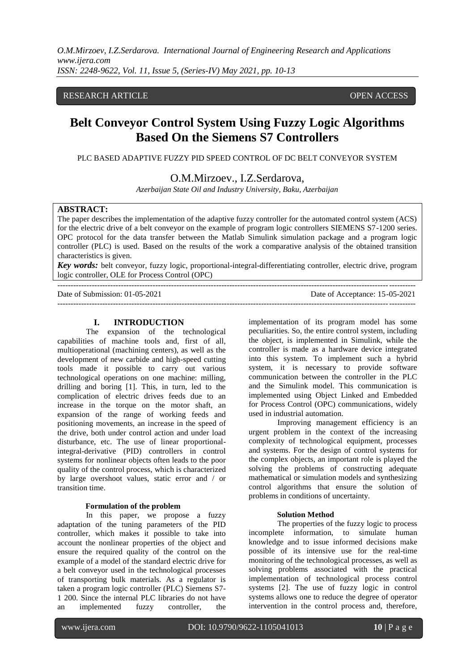*O.M.Mirzoev, I.Z.Serdarova. International Journal of Engineering Research and Applications www.ijera.com ISSN: 2248-9622, Vol. 11, Issue 5, (Series-IV) May 2021, pp. 10-13*

# RESEARCH ARTICLE **CONTRACT OPEN ACCESS**

# **Belt Conveyor Control System Using Fuzzy Logic Algorithms Based On the Siemens S7 Controllers**

PLC BASED ADAPTIVE FUZZY PID SPEED CONTROL OF DC BELT CONVEYOR SYSTEM

O.M.Mirzoev., I.Z.Serdarova,

*Azerbaijan State Oil and Industry University, Baku, Azerbaijan*

# **ABSTRACT:**

The paper describes the implementation of the adaptive fuzzy controller for the automated control system (ACS) for the electric drive of a belt conveyor on the example of program logic controllers SIEMENS S7-1200 series. OPC protocol for the data transfer between the Matlab Simulink simulation package and a program logic controller (PLC) is used. Based on the results of the work a comparative analysis of the obtained transition characteristics is given.

*Key words:* belt conveyor, fuzzy logic, proportional-integral-differentiating controller, electric drive, program logic controller, OLE for Process Control (OPC)

Date of Submission: 01-05-2021 Date of Acceptance: 15-05-2021

 $-1\leq i\leq n-1$ 

**I. INTRODUCTION**

---------------------------------------------------------------------------------------------------------------------------------------

The expansion of the technological capabilities of machine tools and, first of all, multioperational (machining centers), as well as the development of new carbide and high-speed cutting tools made it possible to carry out various technological operations on one machine: milling, drilling and boring [1]. This, in turn, led to the complication of electric drives feeds due to an increase in the torque on the motor shaft, an expansion of the range of working feeds and positioning movements, an increase in the speed of the drive, both under control action and under load disturbance, etc. The use of linear proportionalintegral-derivative (PID) controllers in control systems for nonlinear objects often leads to the poor quality of the control process, which is characterized by large overshoot values, static error and / or transition time.

#### **Formulation of the problem**

In this paper, we propose a fuzzy adaptation of the tuning parameters of the PID controller, which makes it possible to take into account the nonlinear properties of the object and ensure the required quality of the control on the example of a model of the standard electric drive for a belt conveyor used in the technological processes of transporting bulk materials. As a regulator is taken a program logic controller (PLC) Siemens S7- 1 200. Since the internal PLC libraries do not have an implemented fuzzy controller, the implementation of its program model has some peculiarities. So, the entire control system, including the object, is implemented in Simulink, while the controller is made as a hardware device integrated into this system. To implement such a hybrid system, it is necessary to provide software communication between the controller in the PLC and the Simulink model. This communication is implemented using Object Linked and Embedded for Process Control (OPC) communications, widely used in industrial automation.

Improving management efficiency is an urgent problem in the context of the increasing complexity of technological equipment, processes and systems. For the design of control systems for the complex objects, an important role is played the solving the problems of constructing adequate mathematical or simulation models and synthesizing control algorithms that ensure the solution of problems in conditions of uncertainty.

#### **Solution Method**

The properties of the fuzzy logic to process incomplete information, to simulate human knowledge and to issue informed decisions make possible of its intensive use for the real-time monitoring of the technological processes, as well as solving problems associated with the practical implementation of technological process control systems [2]. The use of fuzzy logic in control systems allows one to reduce the degree of operator intervention in the control process and, therefore,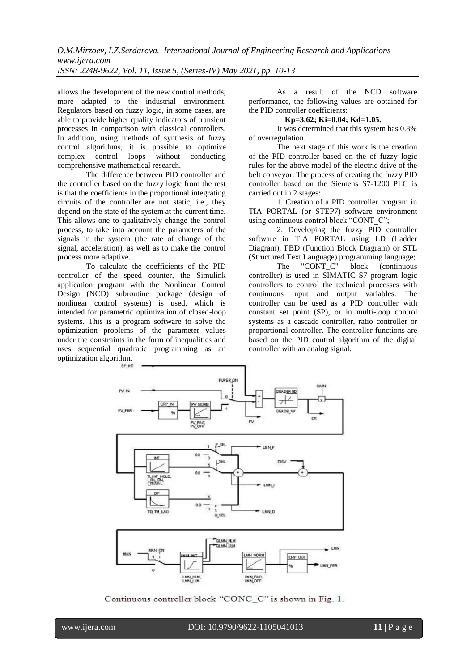*O.M.Mirzoev, I.Z.Serdarova. International Journal of Engineering Research and Applications www.ijera.com ISSN: 2248-9622, Vol. 11, Issue 5, (Series-IV) May 2021, pp. 10-13*

allows the development of the new control methods, more adapted to the industrial environment. Regulators based on fuzzy logic, in some cases, are able to provide higher quality indicators of transient processes in comparison with classical controllers. In addition, using methods of synthesis of fuzzy control algorithms, it is possible to optimize complex control loops without conducting comprehensive mathematical research.

The difference between PID controller and the controller based on the fuzzy logic from the rest is that the coefficients in the proportional integrating circuits of the controller are not static, i.e., they depend on the state of the system at the current time. This allows one to qualitatively change the control process, to take into account the parameters of the signals in the system (the rate of change of the signal, acceleration), as well as to make the control process more adaptive.

To calculate the coefficients of the PID controller of the speed counter, the Simulink application program with the Nonlinear Control Design (NCD) subroutine package (design of nonlinear control systems) is used, which is intended for parametric optimization of closed-loop systems. This is a program software to solve the optimization problems of the parameter values under the constraints in the form of inequalities and uses sequential quadratic programming as an optimization algorithm.

As a result of the NCD software performance, the following values are obtained for the PID controller coefficients:

#### **Kp=3.62; Ki=0.04; Kd=1.05.**

It was determined that this system has 0.8% of overregulation.

The next stage of this work is the creation of the PID controller based on the of fuzzy logic rules for the above model of the electric drive of the belt conveyor. The process of creating the fuzzy PID controller based on the Siemens S7-1200 PLC is carried out in 2 stages:

1. Creation of a PID controller program in TIA PORTAL (or STEP7) software environment using continuous control block "CONT\_C";

2. Developing the fuzzy PID controller software in TIA PORTAL using LD (Ladder Diagram), FBD (Function Block Diagram) or STL (Structured Text Language) programming language;

The "CONT C" block (continuous controller) is used in SIMATIC S7 program logic controllers to control the technical processes with continuous input and output variables. The controller can be used as a PID controller with constant set point (SP), or in multi-loop control systems as a cascade controller, ratio controller or proportional controller. The controller functions are based on the PID control algorithm of the digital controller with an analog signal.



Continuous controller block "CONC\_C" is shown in Fig. 1.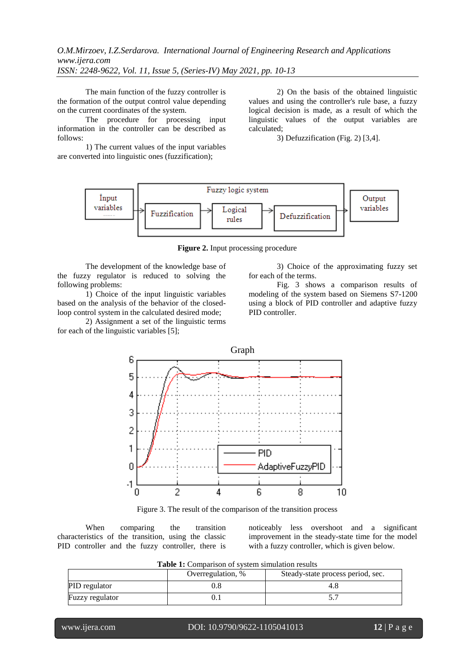*O.M.Mirzoev, I.Z.Serdarova. International Journal of Engineering Research and Applications www.ijera.com ISSN: 2248-9622, Vol. 11, Issue 5, (Series-IV) May 2021, pp. 10-13*

The main function of the fuzzy controller is the formation of the output control value depending on the current coordinates of the system.

The procedure for processing input information in the controller can be described as follows:

1) The current values of the input variables are converted into linguistic ones (fuzzification);

2) On the basis of the obtained linguistic values and using the controller's rule base, a fuzzy logical decision is made, as a result of which the linguistic values of the output variables are calculated;

3) Defuzzification (Fig. 2) [3,4].



**Figure 2.** Input processing procedure

The development of the knowledge base of the fuzzy regulator is reduced to solving the following problems:

1) Choice of the input linguistic variables based on the analysis of the behavior of the closedloop control system in the calculated desired mode;

2) Assignment a set of the linguistic terms for each of the linguistic variables [5];

3) Choice of the approximating fuzzy set for each of the terms.

Fig. 3 shows a comparison results of modeling of the system based on Siemens S7-1200 using a block of PID controller and adaptive fuzzy PID controller.



Figure 3. The result of the comparison of the transition process

When comparing the transition characteristics of the transition, using the classic PID controller and the fuzzy controller, there is

noticeably less overshoot and a significant improvement in the steady-state time for the model with a fuzzy controller, which is given below.

|                 | Overregulation, % | Steady-state process period, sec. |
|-----------------|-------------------|-----------------------------------|
| PID regulator   |                   |                                   |
| Fuzzy regulator |                   |                                   |

**Table 1:** Comparison of system simulation results